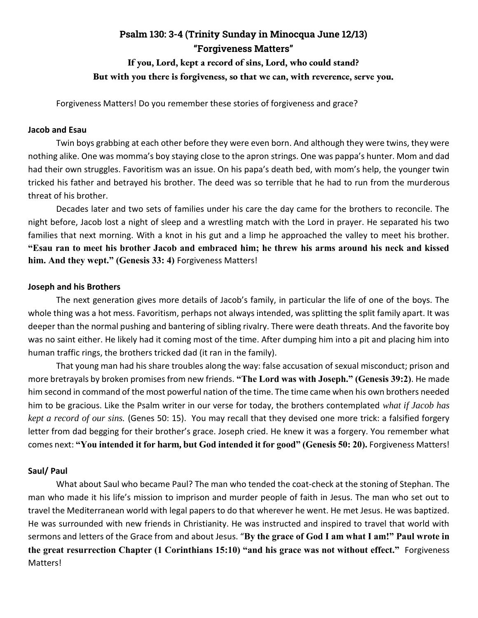## **Psalm 130: 3-4 (Trinity Sunday in Minocqua June 12/13) "Forgiveness Matters" If you, Lord, kept a record of sins, Lord, who could stand?**

# **But with you there is forgiveness, so that we can, with reverence, serve you.**

Forgiveness Matters! Do you remember these stories of forgiveness and grace?

#### **Jacob and Esau**

Twin boys grabbing at each other before they were even born. And although they were twins, they were nothing alike. One was momma's boy staying close to the apron strings. One was pappa's hunter. Mom and dad had their own struggles. Favoritism was an issue. On his papa's death bed, with mom's help, the younger twin tricked his father and betrayed his brother. The deed was so terrible that he had to run from the murderous threat of his brother.

Decades later and two sets of families under his care the day came for the brothers to reconcile. The night before, Jacob lost a night of sleep and a wrestling match with the Lord in prayer. He separated his two families that next morning. With a knot in his gut and a limp he approached the valley to meet his brother. **"Esau ran to meet his brother Jacob and embraced him; he threw his arms around his neck and kissed him. And they wept." (Genesis 33: 4)** Forgiveness Matters!

#### **Joseph and his Brothers**

The next generation gives more details of Jacob's family, in particular the life of one of the boys. The whole thing was a hot mess. Favoritism, perhaps not always intended, was splitting the split family apart. It was deeper than the normal pushing and bantering of sibling rivalry. There were death threats. And the favorite boy was no saint either. He likely had it coming most of the time. After dumping him into a pit and placing him into human traffic rings, the brothers tricked dad (it ran in the family).

That young man had his share troubles along the way: false accusation of sexual misconduct; prison and more bretrayals by broken promises from new friends. **"The Lord was with Joseph." (Genesis 39:2)**. He made him second in command of the most powerful nation of the time. The time came when his own brothers needed him to be gracious. Like the Psalm writer in our verse for today, the brothers contemplated *what if Jacob has kept a record of our sins.* (Genes 50: 15). You may recall that they devised one more trick: a falsified forgery letter from dad begging for their brother's grace. Joseph cried. He knew it was a forgery. You remember what comes next: **"You intended it for harm, but God intended it for good" (Genesis 50: 20).** Forgiveness Matters!

#### **Saul/ Paul**

What about Saul who became Paul? The man who tended the coat-check at the stoning of Stephan. The man who made it his life's mission to imprison and murder people of faith in Jesus. The man who set out to travel the Mediterranean world with legal papers to do that wherever he went. He met Jesus. He was baptized. He was surrounded with new friends in Christianity. He was instructed and inspired to travel that world with sermons and letters of the Grace from and about Jesus. "**By the grace of God I am what I am!" Paul wrote in the great resurrection Chapter (1 Corinthians 15:10) "and his grace was not without effect."** Forgiveness Matters!